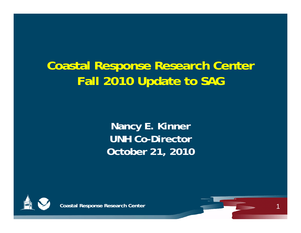### **Coastal Response Research Center Fall 2010 Update to SAG**

**Nanc y E. Kinner UNH Co-Director October 21, 2010**



**Coastal Response Research Center**

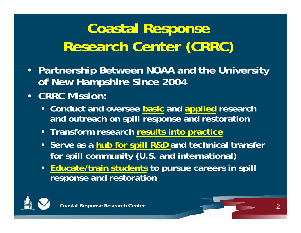# **Coastal Response Research Center (CRRC)**

- **Partnership Between NOAA and the University of New Hampshire Since 2004**
- **CRRC Mission:**
	- **Conduct and oversee basic and applied research and outreach on spill response and restoration**
	- **Transform research results into practice**
	- **Serve as a hub for spill R&D and technical transfer**  for spill community (U.S. and international)
	- **Educate/train students to pursue careers in spill response and restoration**

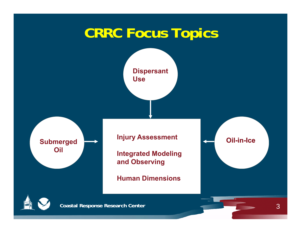# **CRRC Focus Topics**

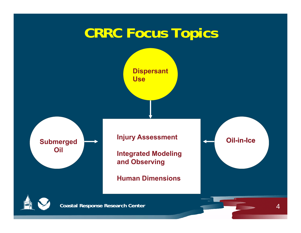# **CRRC Focus Topics**

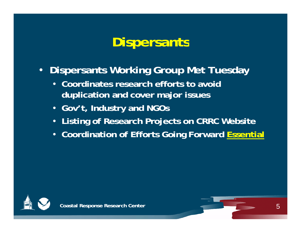### **Dispersants**

- $\bullet$  **Dispersants Working Group Met Tuesday**
	- **Coordinates research efforts to avoid duplication and cover major issues**
	- **Gov't, Industry and NGOs**
	- **Listing of Research Projects on CRRC Website**
	- **C di i f Eff G i F d Coordination of Efforts Going Forward E i lssential**



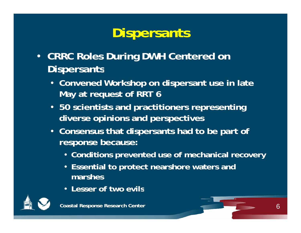# **Dispersants**

- **CRRC Roles During DWH Centered on Dispersants**
	- **Convened Workshop on dispersant use in late May at request of RRT 6**
	- **50 scientists and practitioners representing diverse opinions and perspectives**
	- **Consensus that dispersants had to be part of response because:**
		- **Conditions prevented use of mechanical recovery**
		- **Essential to protect nearshore waters and marshes**
		- **Lesser of two evils**

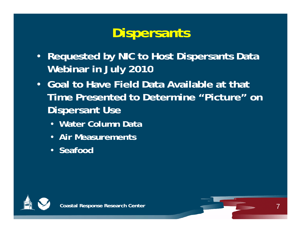# **Dispersants**

- **Requested by NIC to Host Dispersants Data Webinar in July 2010**
- **Goal to Have Field Data Available at that Time Presented to Determine "Picture" on Dispersant Use**
	- **Water Column Data**
	- **Air Measurements**
	- **Seafood**



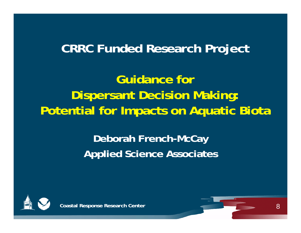### **CRRC Fundd h e Research Project**

**Guidance for Dispersant Decision Making: Potential for Impacts on Aquatic Biota**

> **Deborah French-McCay Applied Science Associates**



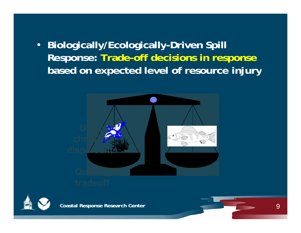• Biologically/Ecologically-Driven Spill **Response: Trade-off decisions in response based on expected level of resource injury**







**Coastal Response Research Center**

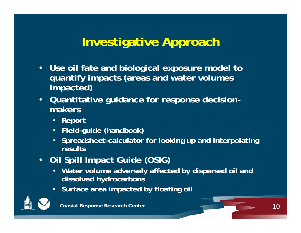### **Investigative Approach**

- $\bullet$ • Use oil fate and biological exposure model to **quantify impacts (areas and water volumes impacted)**
- • **Quantitative guidance for response decision makers**
	- **Report**
	- $\bullet$ **Field-guide (handbook)**
	- **Spreadsheet-calculator for looking up and interpolating results**
- **Oil Spill Impact Guide (OSIG)**
	- $\bullet$  **Water volume adversely affected by dispersed oil and dissolved hydrocarbons**
	- **Surface area impacted by floating oil**

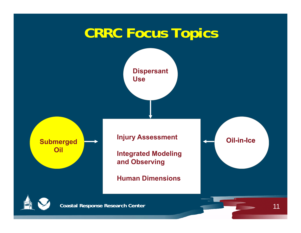# **CRRC Focus Topics**

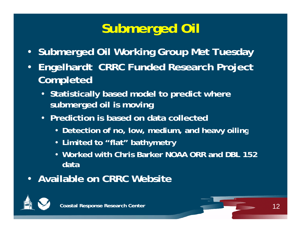# **Submerged Oil**

- **Submerged Oil Working Group Met Tuesday**
- **Eng j elhardt CRRC Funded Research Project Completed**
	- **Statistically based model to predict where sub d il i i bmerged oil is moving**
	- **Prediction is based on data collected** 
		- **Detection of no low medium and heavy oiling no, low, medium,**
		- **Limited to "flat" bathymetry**
		- **Worked with Chris Barker NOAA ORR and DBL 152 data**
- **Available on CRRC Website**



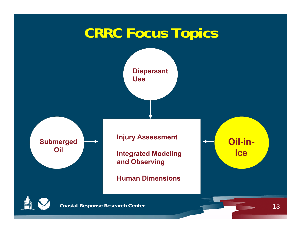# **CRRC Focus Topics**

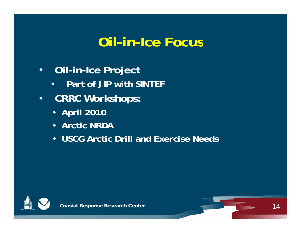### **Oil-in-Ice Focus**

- $\bullet$  **Oil-in-Ice Project**
	- •**Part of JIP with SINTEF**
- $\bullet$  **CRRC Workshops:**
	- **April 2010**
	- **Arctic NRDA**
	- **USCG Arctic Drill and Exercise Needs**



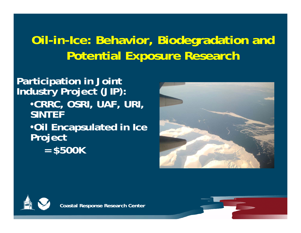### **Oil-in-Ice: Behavior, Biodegradation and Potential Exposure Research**

**Participation in Joint Industry Project (JIP):** •**CRRC OSRI UAF URI CRRC, OSRI, UAF, URI, SINTEF**•**Oil Encapsulated in Ice Project = \$500K**



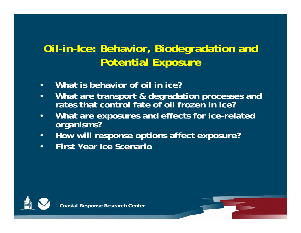#### **Oil-in-Ice: Behavior, Biodegradation and Potential Exposure**

- $\bullet$ **What is behavior of oil in ice?**
- • **What are transport & degradation processes and**  rates that control fate of oil frozen in ice?
- • **What are exposures and effects for ice-related organisms?**
- $\bullet$ **How will response options affect exposure?**
- •**First Year Ice Scenario**



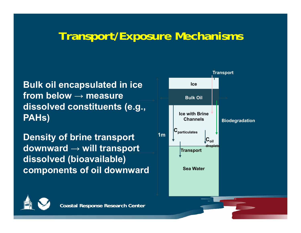#### **Transport/Exposure Mechanisms**

**Bulk oil encapsulated in ice from below → measure Bulk Oildissolved constituents (e.g., PAHs) ICE WAHS** 

**Density of brine transport downward <sup>→</sup> will transport dissolved (bioavailable ) components of oil downward Sea Water** 



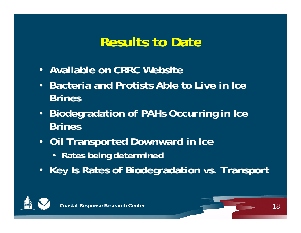### **Results to Date**

- **Available on CRRC Website**
- $\bullet$  **Bacteria and Protists Able to Live in Ice Brines**
- $\bullet$  **Biodegradation of PAHs Occurring in Ice Brines**
- **Oil Transported Downward in Ice**
	- **Rates being determined**
- **Key Is Rates of Biodegradation vs. Transport**



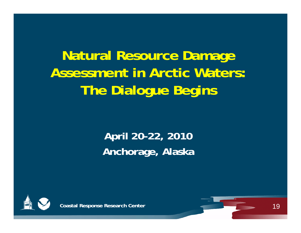# **Natural Resource Damage Assessment in Arctic Waters:The Dialogue Begins**

#### **April 20-22, 2010 Anchorage, Alaska**



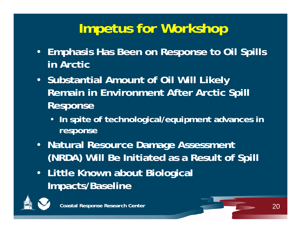## **Impetus for Workshop**

- **Emphasis Has Been on Response to Oil Spills in Arctic**
- **Substantial Amount of Oil Will Likely Remain in Environment After Arctic Spill Response**
	- **In spite of technological/equipment advances in response**
- **Natural Resource Damage Assessment (NRDA) Will Be Initiated as a Result of Spill**
- **Little Known about Biological Im pacts/Baseline**

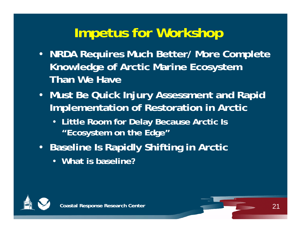## **Impetus for Workshop**

- **NRDA Requires Much Better/ More Complete Knowledge of Arctic Marine Ecosystem Than We Have**
- **Must Be Quick Injury Assessment and Rapid Implementation of Restoration in Arctic** 
	- **Little Room for Delay Because Arctic Is "Ecosystem on the Edge"**
- **Baseline Is Rapidly Shifting in Arctic** 
	- **What is baseline?**



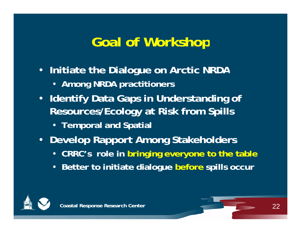### **Goal of Workshop**

- **Initiate the Dialogue on Arctic NRDA**
	- **Among NRDA practitioners**
- **Identify Data Gaps in Understanding of Resources/Ecology at Risk from Spills**
	- **Temporal and Spatial**
- **Develop Rapport Among Stakeholders**
	- **CRRC's role in bringing everyone to the table**
	- **Better to initiate dialogue before spills occur**



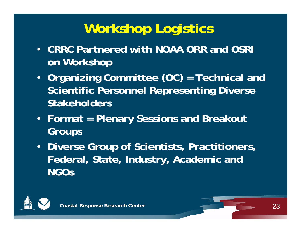# **Workshop Logistics**

- **CRRC Partnered with NOAA ORR and OSRI on Workshop**
- **Organizing Committee (OC) = Technical and Scientific Personnel Representing Diverse Stakeholders**
- **Format = Plenary Sessions and Breakout Groups**
- **Diverse Group of Scientists, Practitioners, Federal, State, Industry, Academic and NGOs**



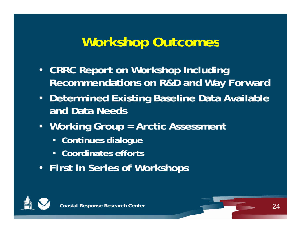### **Workshop Outcomes**

- **CRRC Report on Workshop Including Recommendations on R&D and Way Forward**
- **Determined Existin g Baseline Data Available and Data Needs**
- **Workin g p Grou p = Arctic Assessment** 
	- **Continues dialogue**
	- **Coordinates efforts**
- **First in Series of Workshops**



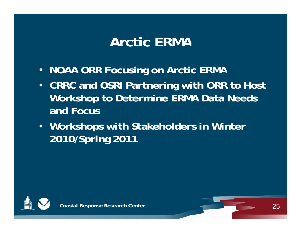### **Arctic ERMA**

- **NOAA ORR Focusing on Arctic ERMA**
- **CRRC and OSRI Partnering with ORR to Host Workshop to Determine ERMA Data Needs and Focus**
- **Workshops with Stakeholders in Winter 2010/Spring 2011**

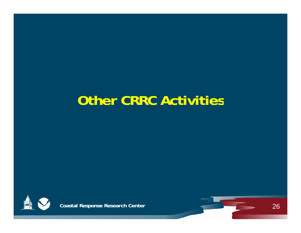## **Other CRRC Activities**



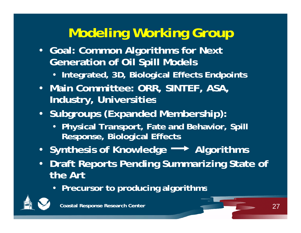# **Modeling Working Group**

- **Goal: Common Algorithms for Next Generation of Oil Spill Models**
	- Integrated, 3D, Biological Effects Endpoints
- **Main Committee: ORR, SINTEF, ASA, Industry, Universities**
- **Subgroups (Expanded Membership):**
	- **Ph y p , ,p sical Trans port, Fate and Behavior, S pill Response, Biological Effects**
- Synthesis of Knowledge <sup>----></sup> Algorithms
- $\bullet$ • Draft Reports Pending Summarizing State of **the Art** 
	- **Precursor to producing algorithms**



**Coastal Response Research Center** 27 **Coastal Response 27**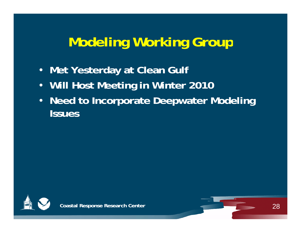### **Modeling Working Group**

- **Met Yesterday at Clean Gulf**
- •**Will Host Meeting in Winter 2010**
- • **Need to Incorporate Deepwater Modeling Issues**



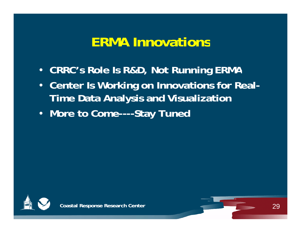### **ERMA Innovations**

- **CRRC s Role Is R&D, Not Running ERMA 's**
- $\bullet$  **Center Is Working on Innovations for Real-Time Data Anal ysis and Visualization**
- **More to Come----Stay Tuned**



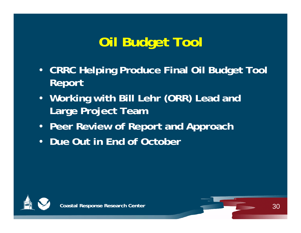# **Oil Budget Tool**

- **CRRC Helping Produce Final Oil Budget Tool Report**
- **Workin g () with Bill Lehr (ORR ) Lead and Large Project Team**
- **Peer Review of Report and Approach**
- **Due Out in End of October**



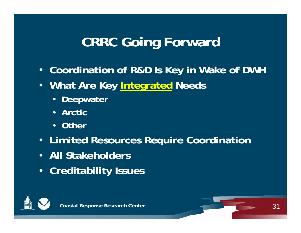## **CRRC Going Forward**

- **Coordination of R&D Is Key in Wake of DWH**
- **What Are Key Integrated Needs**
	- **Deepwater**
	- **Arctic**
	- **Other**
- **Limited Resources Require Coordination**
- **All Stakeholders**
- **Creditability Issues**



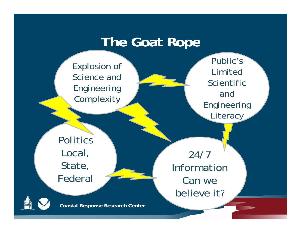#### **The Goat Rope**

Explosion of the contract of the contract of the contract of the contract of the contract of the contract of the contract of the contract of the contract of the contract of the contract of the contract of the contract of t Science and Engineering **Complexity** 

Public's Scientific and Engineering **Literacy** 

Politics Local, State, Federal

24/7 InformationCan we believe it?

**Coastal Response Research Center**